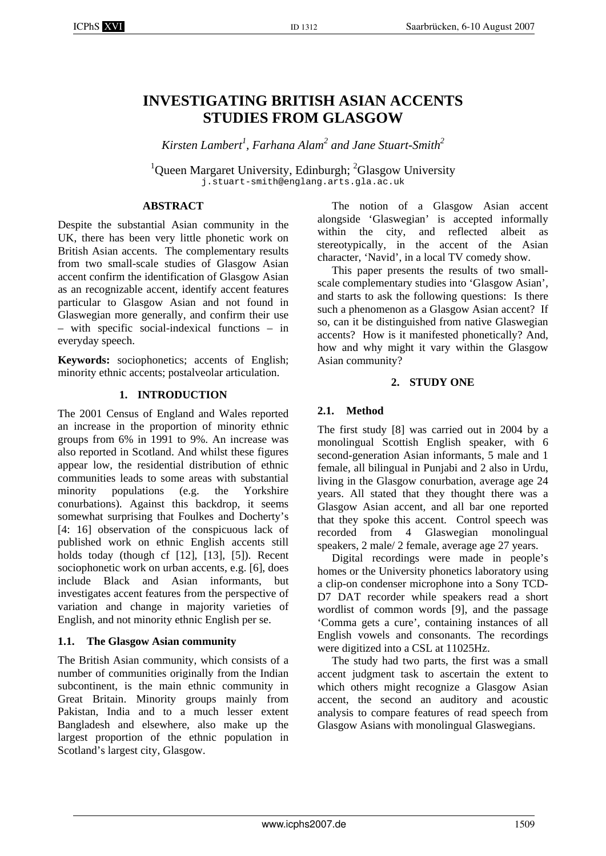# **INVESTIGATING BRITISH ASIAN ACCENTS STUDIES FROM GLASGOW**

*Kirsten Lambert<sup>1</sup> , Farhana Alam2 and Jane Stuart-Smith2*

<sup>1</sup>Queen Margaret University, Edinburgh; <sup>2</sup>Glasgow University j.stuart-smith@englang.arts.gla.ac.uk

## **ABSTRACT**

Despite the substantial Asian community in the UK, there has been very little phonetic work on British Asian accents. The complementary results from two small-scale studies of Glasgow Asian accent confirm the identification of Glasgow Asian as an recognizable accent, identify accent features particular to Glasgow Asian and not found in Glaswegian more generally, and confirm their use – with specific social-indexical functions – in everyday speech.

**Keywords:** sociophonetics; accents of English; minority ethnic accents; postalveolar articulation.

# **1. INTRODUCTION**

The 2001 Census of England and Wales reported an increase in the proportion of minority ethnic groups from 6% in 1991 to 9%. An increase was also reported in Scotland. And whilst these figures appear low, the residential distribution of ethnic communities leads to some areas with substantial minority populations (e.g. the Yorkshire conurbations). Against this backdrop, it seems somewhat surprising that Foulkes and Docherty's [4: 16] observation of the conspicuous lack of published work on ethnic English accents still holds today (though cf [12], [13], [5]). Recent sociophonetic work on urban accents, e.g. [6], does include Black and Asian informants, but investigates accent features from the perspective of variation and change in majority varieties of English, and not minority ethnic English per se.

## **1.1. The Glasgow Asian community**

The British Asian community, which consists of a number of communities originally from the Indian subcontinent, is the main ethnic community in Great Britain. Minority groups mainly from Pakistan, India and to a much lesser extent Bangladesh and elsewhere, also make up the largest proportion of the ethnic population in Scotland's largest city, Glasgow.

The notion of a Glasgow Asian accent alongside 'Glaswegian' is accepted informally within the city, and reflected albeit as stereotypically, in the accent of the Asian character, 'Navid', in a local TV comedy show.

This paper presents the results of two smallscale complementary studies into 'Glasgow Asian', and starts to ask the following questions: Is there such a phenomenon as a Glasgow Asian accent? If so, can it be distinguished from native Glaswegian accents? How is it manifested phonetically? And, how and why might it vary within the Glasgow Asian community?

# **2. STUDY ONE**

# **2.1. Method**

The first study [8] was carried out in 2004 by a monolingual Scottish English speaker, with 6 second-generation Asian informants, 5 male and 1 female, all bilingual in Punjabi and 2 also in Urdu, living in the Glasgow conurbation, average age 24 years. All stated that they thought there was a Glasgow Asian accent, and all bar one reported that they spoke this accent. Control speech was recorded from 4 Glaswegian monolingual speakers, 2 male/ 2 female, average age 27 years.

Digital recordings were made in people's homes or the University phonetics laboratory using a clip-on condenser microphone into a Sony TCD-D7 DAT recorder while speakers read a short wordlist of common words [9], and the passage 'Comma gets a cure', containing instances of all English vowels and consonants. The recordings were digitized into a CSL at 11025Hz.

The study had two parts, the first was a small accent judgment task to ascertain the extent to which others might recognize a Glasgow Asian accent, the second an auditory and acoustic analysis to compare features of read speech from Glasgow Asians with monolingual Glaswegians.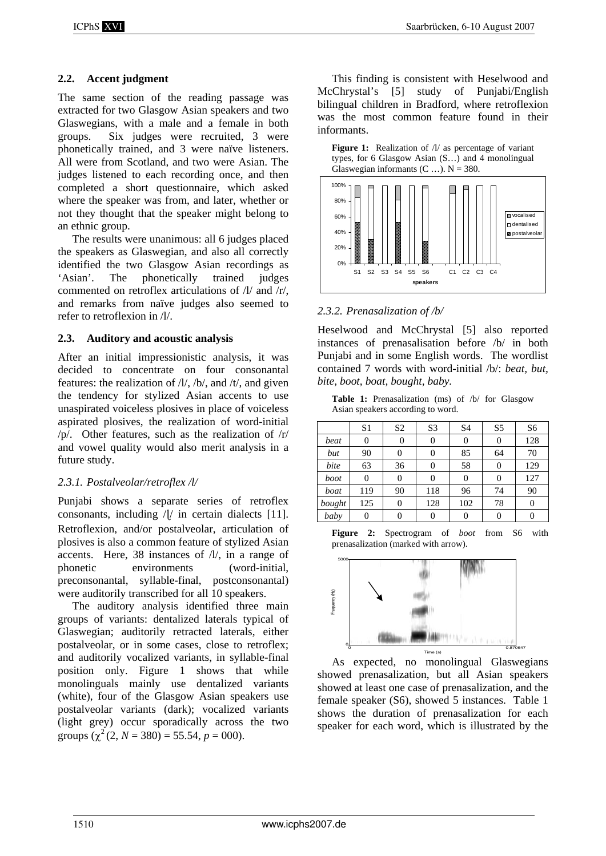## **2.2. Accent judgment**

The same section of the reading passage was extracted for two Glasgow Asian speakers and two Glaswegians, with a male and a female in both groups. Six judges were recruited, 3 were phonetically trained, and 3 were naïve listeners. All were from Scotland, and two were Asian. The judges listened to each recording once, and then completed a short questionnaire, which asked where the speaker was from, and later, whether or not they thought that the speaker might belong to an ethnic group.

The results were unanimous: all 6 judges placed the speakers as Glaswegian, and also all correctly identified the two Glasgow Asian recordings as 'Asian'. The phonetically trained judges commented on retroflex articulations of /l/ and /r/, and remarks from naïve judges also seemed to refer to retroflexion in /l/.

## **2.3. Auditory and acoustic analysis**

After an initial impressionistic analysis, it was decided to concentrate on four consonantal features: the realization of  $/l/$ ,  $/b/$ , and  $/t/$ , and given the tendency for stylized Asian accents to use unaspirated voiceless plosives in place of voiceless aspirated plosives, the realization of word-initial /p/. Other features, such as the realization of  $/r/$ and vowel quality would also merit analysis in a future study.

## *2.3.1. Postalveolar/retroflex /l/*

Punjabi shows a separate series of retroflex consonants, including  $\sqrt{7}$  in certain dialects [11]. Retroflexion, and/or postalveolar, articulation of plosives is also a common feature of stylized Asian accents. Here, 38 instances of /l/, in a range of phonetic environments (word-initial, preconsonantal, syllable-final, postconsonantal) were auditorily transcribed for all 10 speakers.

The auditory analysis identified three main groups of variants: dentalized laterals typical of Glaswegian; auditorily retracted laterals, either postalveolar, or in some cases, close to retroflex; and auditorily vocalized variants, in syllable-final position only. Figure 1 shows that while monolinguals mainly use dentalized variants (white), four of the Glasgow Asian speakers use postalveolar variants (dark); vocalized variants (light grey) occur sporadically across the two groups  $(\chi^2 (2, N = 380) = 55.54, p = 000)$ .

This finding is consistent with Heselwood and McChrystal's [5] study of Punjabi/English bilingual children in Bradford, where retroflexion was the most common feature found in their informants.

Figure 1: Realization of  $\Lambda$  as percentage of variant types, for 6 Glasgow Asian (S…) and 4 monolingual Glaswegian informants  $(C \dots)$ .  $N = 380$ .



## *2.3.2. Prenasalization of /b/*

Heselwood and McChrystal [5] also reported instances of prenasalisation before /b/ in both Punjabi and in some English words. The wordlist contained 7 words with word-initial /b/: *beat, but, bite, boot, boat, bought, baby.*

Table 1: Prenasalization (ms) of /b/ for Glasgow Asian speakers according to word.

|        | S1  | S <sub>2</sub> | S <sub>3</sub> | S4  | S <sub>5</sub>   | S <sub>6</sub> |
|--------|-----|----------------|----------------|-----|------------------|----------------|
| beat   | 0   | 0              |                | 0   | $\left( \right)$ | 128            |
| but    | 90  |                |                | 85  | 64               | 70             |
| bite   | 63  | 36             |                | 58  | 0                | 129            |
| boot   | 0   | $\Omega$       |                | 0   | 0                | 127            |
| boat   | 119 | 90             | 118            | 96  | 74               | 90             |
| bought | 125 | 0              | 128            | 102 | 78               |                |
| baby   | 0   |                |                |     |                  |                |

**Figure 2:** Spectrogram of *boot* from S6 with prenasalization (marked with arrow).



As expected, no monolingual Glaswegians showed prenasalization, but all Asian speakers showed at least one case of prenasalization, and the female speaker (S6), showed 5 instances. Table 1 shows the duration of prenasalization for each speaker for each word, which is illustrated by the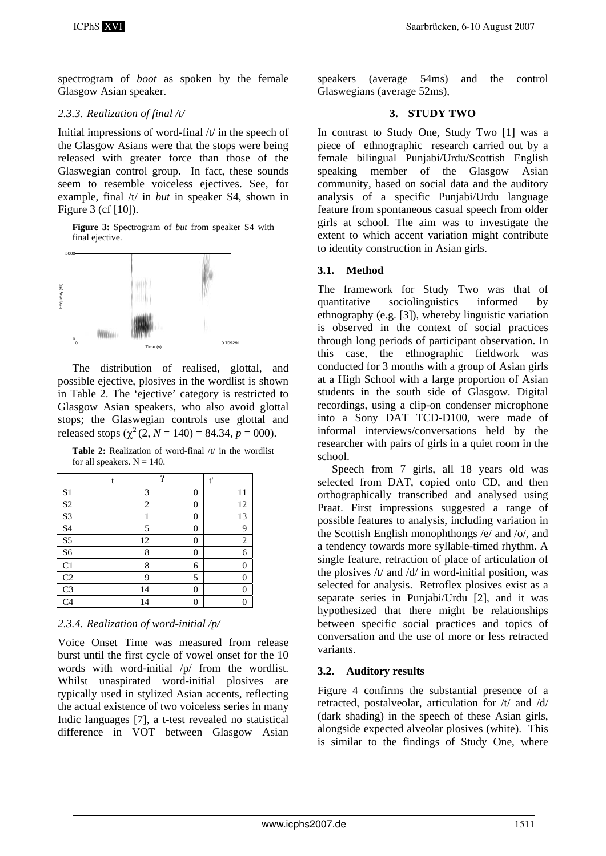spectrogram of *boot* as spoken by the female Glasgow Asian speaker.

#### *2.3.3. Realization of final /t/*

Initial impressions of word-final /t/ in the speech of the Glasgow Asians were that the stops were being released with greater force than those of the Glaswegian control group. In fact, these sounds seem to resemble voiceless ejectives. See, for example, final /t/ in *but* in speaker S4, shown in Figure 3 (cf [10]).

**Figure 3:** Spectrogram of *but* from speaker S4 with final ejective.



The distribution of realised, glottal, and possible ejective, plosives in the wordlist is shown in Table 2. The 'ejective' category is restricted to Glasgow Asian speakers, who also avoid glottal stops; the Glaswegian controls use glottal and released stops  $(\gamma^2 (2, N = 140) = 84.34, p = 000)$ .

Table 2: Realization of word-final /t/ in the wordlist for all speakers.  $N = 140$ .

|                | t  | $\boldsymbol{\Omega}$ | ť        |
|----------------|----|-----------------------|----------|
| S <sub>1</sub> | 3  | 0                     | 11       |
| $\rm S2$       | 2  | $\overline{0}$        | 12       |
| S <sub>3</sub> | 1  | 0                     | 13       |
| S <sub>4</sub> | 5  | 0                     | 9        |
| S <sub>5</sub> | 12 | 0                     | 2        |
| S <sub>6</sub> | 8  | 0                     | 6        |
| C1             | 8  | 6                     | $\theta$ |
| C <sub>2</sub> | 9  | 5                     | 0        |
| C <sub>3</sub> | 14 | 0                     | 0        |
| C <sub>4</sub> | 14 | 0                     | 0        |

## *2.3.4. Realization of word-initial /p/*

Voice Onset Time was measured from release burst until the first cycle of vowel onset for the 10 words with word-initial /p/ from the wordlist. Whilst unaspirated word-initial plosives are typically used in stylized Asian accents, reflecting the actual existence of two voiceless series in many Indic languages [7], a t-test revealed no statistical difference in VOT between Glasgow Asian speakers (average 54ms) and the control Glaswegians (average 52ms),

#### **3. STUDY TWO**

In contrast to Study One, Study Two [1] was a piece of ethnographic research carried out by a female bilingual Punjabi/Urdu/Scottish English speaking member of the Glasgow Asian community, based on social data and the auditory analysis of a specific Punjabi/Urdu language feature from spontaneous casual speech from older girls at school. The aim was to investigate the extent to which accent variation might contribute to identity construction in Asian girls.

## **3.1. Method**

The framework for Study Two was that of quantitative sociolinguistics informed by ethnography (e.g. [3]), whereby linguistic variation is observed in the context of social practices through long periods of participant observation. In this case, the ethnographic fieldwork was conducted for 3 months with a group of Asian girls at a High School with a large proportion of Asian students in the south side of Glasgow. Digital recordings, using a clip-on condenser microphone into a Sony DAT TCD-D100, were made of informal interviews/conversations held by the researcher with pairs of girls in a quiet room in the school.

Speech from 7 girls, all 18 years old was selected from DAT, copied onto CD, and then orthographically transcribed and analysed using Praat. First impressions suggested a range of possible features to analysis, including variation in the Scottish English monophthongs /e/ and /o/, and a tendency towards more syllable-timed rhythm. A single feature, retraction of place of articulation of the plosives  $/t$  and  $/d$  in word-initial position, was selected for analysis. Retroflex plosives exist as a separate series in Punjabi/Urdu [2], and it was hypothesized that there might be relationships between specific social practices and topics of conversation and the use of more or less retracted variants.

## **3.2. Auditory results**

Figure 4 confirms the substantial presence of a retracted, postalveolar, articulation for /t/ and /d/ (dark shading) in the speech of these Asian girls, alongside expected alveolar plosives (white). This is similar to the findings of Study One, where